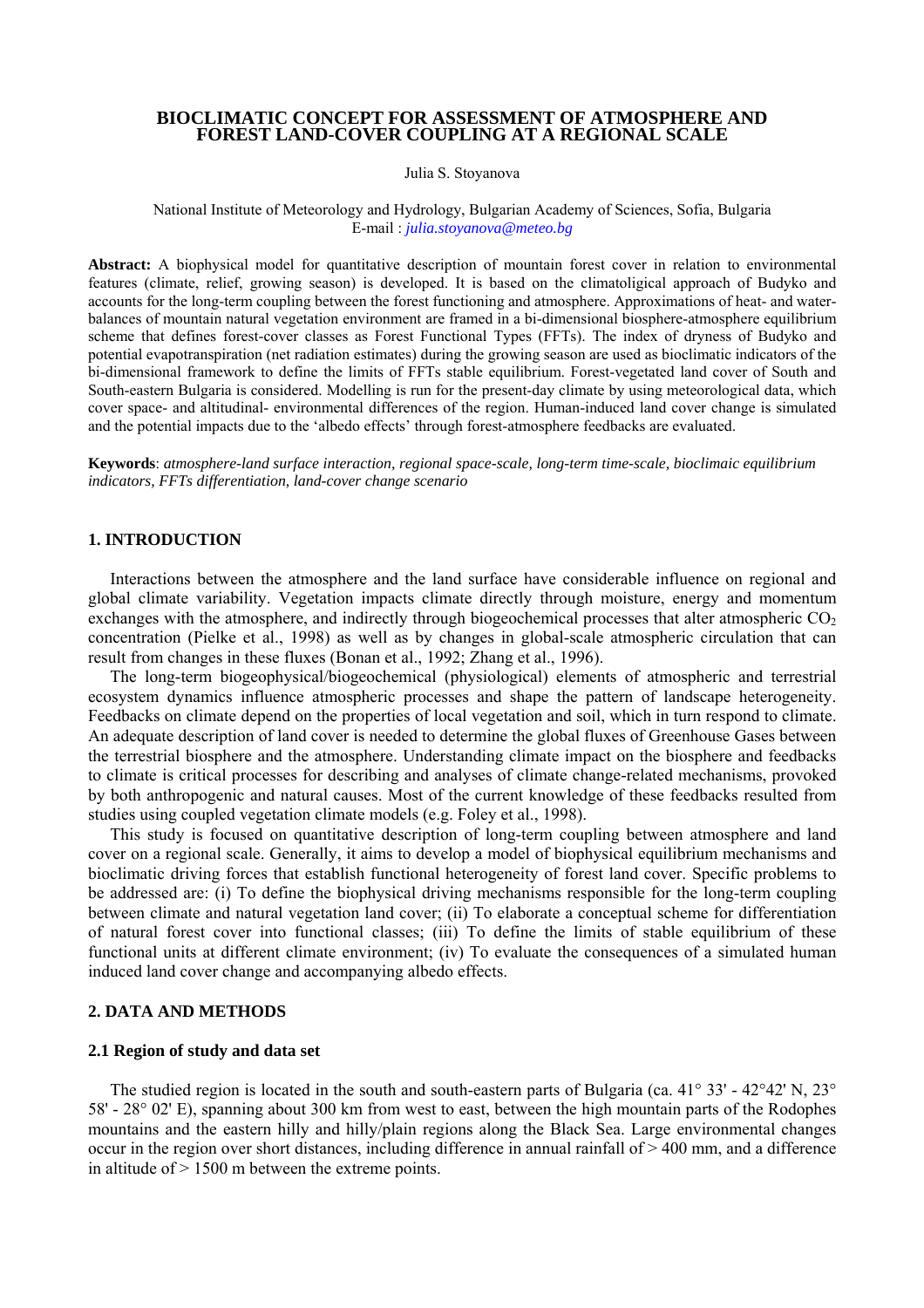# **BIOCLIMATIC CONCEPT FOR ASSESSMENT OF ATMOSPHERE AND FOREST LAND-COVER COUPLING AT A REGIONAL SCALE**

Julia S. Stoyanova

National Institute of Meteorology and Hydrology, Bulgarian Academy of Sciences, Sofia, Bulgaria E-mail : *julia.stoyanova@meteo.bg*

**Abstract:** A biophysical model for quantitative description of mountain forest cover in relation to environmental features (climate, relief, growing season) is developed. It is based on the climatoligical approach of Budyko and accounts for the long-term coupling between the forest functioning and atmosphere. Approximations of heat- and waterbalances of mountain natural vegetation environment are framed in a bi-dimensional biosphere-atmosphere equilibrium scheme that defines forest-cover classes as Forest Functional Types (FFTs). The index of dryness of Budyko and potential evapotranspiration (net radiation estimates) during the growing season are used as bioclimatic indicators of the bi-dimensional framework to define the limits of FFTs stable equilibrium. Forest-vegetated land cover of South and South-eastern Bulgaria is considered. Modelling is run for the present-day climate by using meteorological data, which cover space- and altitudinal- environmental differences of the region. Human-induced land cover change is simulated and the potential impacts due to the 'albedo effects' through forest-atmosphere feedbacks are evaluated.

**Keywords**: *atmosphere-land surface interaction, regional space-scale, long-term time-scale, bioclimaic equilibrium indicators, FFTs differentiation, land-cover change scenario* 

### **1. INTRODUCTION**

Interactions between the atmosphere and the land surface have considerable influence on regional and global climate variability. Vegetation impacts climate directly through moisture, energy and momentum exchanges with the atmosphere, and indirectly through biogeochemical processes that alter atmospheric  $CO<sub>2</sub>$ concentration (Pielke et al., 1998) as well as by changes in global-scale atmospheric circulation that can result from changes in these fluxes (Bonan et al., 1992; Zhang et al., 1996).

The long-term biogeophysical/biogeochemical (physiological) elements of atmospheric and terrestrial ecosystem dynamics influence atmospheric processes and shape the pattern of landscape heterogeneity. Feedbacks on climate depend on the properties of local vegetation and soil, which in turn respond to climate. An adequate description of land cover is needed to determine the global fluxes of Greenhouse Gases between the terrestrial biosphere and the atmosphere. Understanding climate impact on the biosphere and feedbacks to climate is critical processes for describing and analyses of climate change-related mechanisms, provoked by both anthropogenic and natural causes. Most of the current knowledge of these feedbacks resulted from studies using coupled vegetation climate models (e.g. Foley et al., 1998).

This study is focused on quantitative description of long-term coupling between atmosphere and land cover on a regional scale. Generally, it aims to develop a model of biophysical equilibrium mechanisms and bioclimatic driving forces that establish functional heterogeneity of forest land cover. Specific problems to be addressed are: (i) To define the biophysical driving mechanisms responsible for the long-term coupling between climate and natural vegetation land cover; (ii) To elaborate a conceptual scheme for differentiation of natural forest cover into functional classes; (iii) To define the limits of stable equilibrium of these functional units at different climate environment; (iv) To evaluate the consequences of a simulated human induced land cover change and accompanying albedo effects.

## **2. DATA AND METHODS**

## **2.1 Region of study and data set**

The studied region is located in the south and south-eastern parts of Bulgaria (ca. 41° 33' - 42°42' N, 23° 58' - 28° 02' E), spanning about 300 km from west to east, between the high mountain parts of the Rodophes mountains and the eastern hilly and hilly/plain regions along the Black Sea. Large environmental changes occur in the region over short distances, including difference in annual rainfall of > 400 mm, and a difference in altitude of  $> 1500$  m between the extreme points.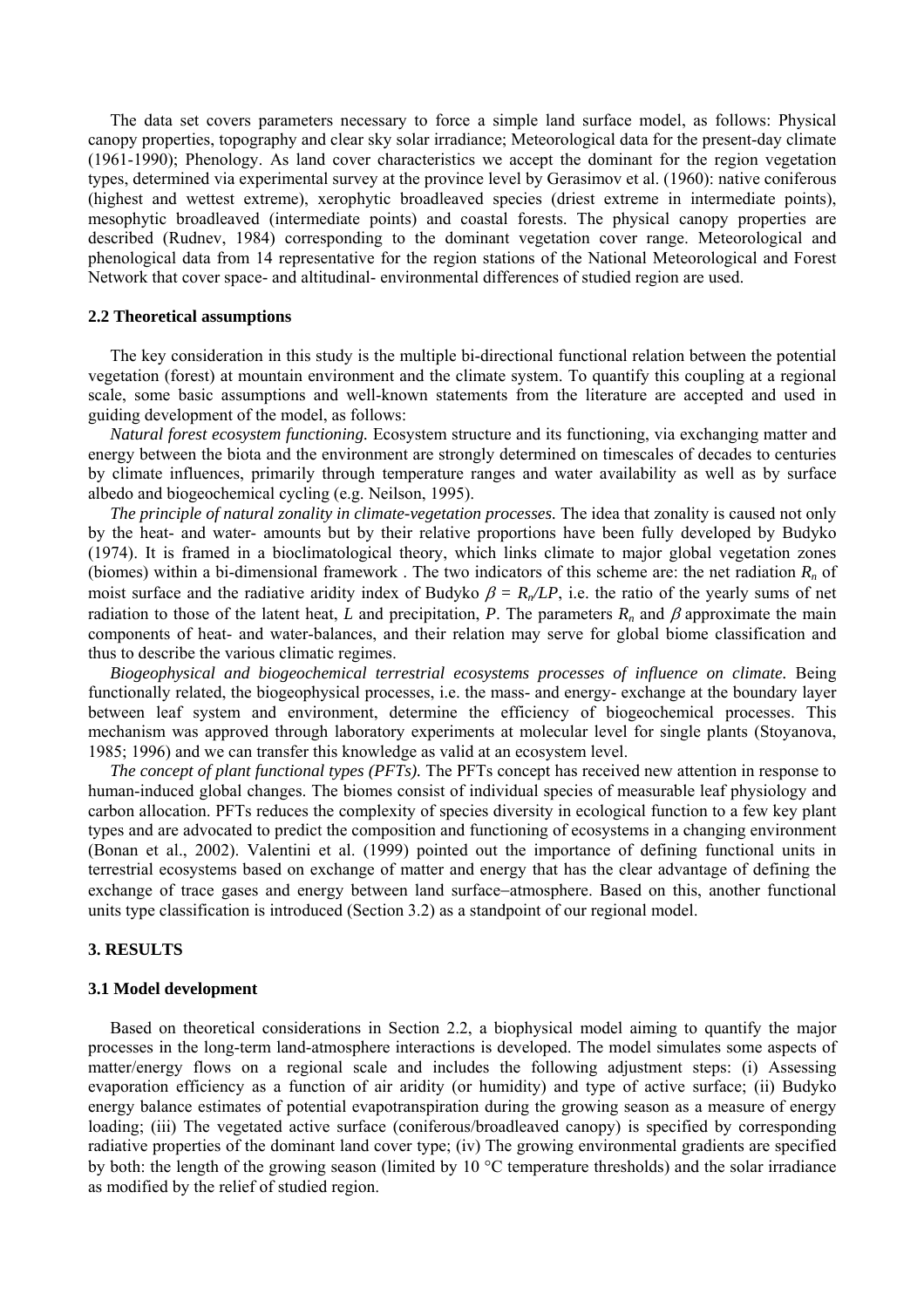The data set covers parameters necessary to force a simple land surface model, as follows: Physical canopy properties, topography and clear sky solar irradiance; Meteorological data for the present-day climate (1961-1990); Phenology. As land cover characteristics we accept the dominant for the region vegetation types, determined via experimental survey at the province level by Gerasimov et al. (1960): native coniferous (highest and wettest extreme), xerophytic broadleaved species (driest extreme in intermediate points), mesophytic broadleaved (intermediate points) and coastal forests. The physical canopy properties are described (Rudnev, 1984) corresponding to the dominant vegetation cover range. Meteorological and phenological data from 14 representative for the region stations of the National Meteorological and Forest Network that cover space- and altitudinal- environmental differences of studied region are used.

### **2.2 Theoretical assumptions**

The key consideration in this study is the multiple bi-directional functional relation between the potential vegetation (forest) at mountain environment and the climate system. To quantify this coupling at a regional scale, some basic assumptions and well-known statements from the literature are accepted and used in guiding development of the model, as follows:

*Natural forest ecosystem functioning.* Ecosystem structure and its functioning, via exchanging matter and energy between the biota and the environment are strongly determined on timescales of decades to centuries by climate influences, primarily through temperature ranges and water availability as well as by surface albedo and biogeochemical cycling (e.g. Neilson, 1995).

*The principle of natural zonality in climate-vegetation processes.* The idea that zonality is caused not only by the heat- and water- amounts but by their relative proportions have been fully developed by Budyko (1974). It is framed in a bioclimatological theory, which links climate to major global vegetation zones (biomes) within a bi-dimensional framework. The two indicators of this scheme are: the net radiation  $R_n$  of moist surface and the radiative aridity index of Budyko  $\beta = R_n/LP$ , i.e. the ratio of the yearly sums of net radiation to those of the latent heat, *L* and precipitation, *P*. The parameters  $R_n$  and  $\beta$  approximate the main components of heat- and water-balances, and their relation may serve for global biome classification and thus to describe the various climatic regimes.

*Biogeophysical and biogeochemical terrestrial ecosystems processes of influence on climate.* Being functionally related, the biogeophysical processes, i.e. the mass- and energy- exchange at the boundary layer between leaf system and environment, determine the efficiency of biogeochemical processes. This mechanism was approved through laboratory experiments at molecular level for single plants (Stoyanova, 1985; 1996) and we can transfer this knowledge as valid at an ecosystem level.

*The concept of plant functional types (PFTs).* The PFTs concept has received new attention in response to human-induced global changes. The biomes consist of individual species of measurable leaf physiology and carbon allocation. PFTs reduces the complexity of species diversity in ecological function to a few key plant types and are advocated to predict the composition and functioning of ecosystems in a changing environment (Bonan et al., 2002). Valentini et al. (1999) pointed out the importance of defining functional units in terrestrial ecosystems based on exchange of matter and energy that has the clear advantage of defining the exchange of trace gases and energy between land surface−atmosphere. Based on this, another functional units type classification is introduced (Section 3.2) as a standpoint of our regional model.

### **3. RESULTS**

#### **3.1 Model development**

Based on theoretical considerations in Section 2.2, a biophysical model aiming to quantify the major processes in the long-term land-atmosphere interactions is developed. The model simulates some aspects of matter/energy flows on a regional scale and includes the following adjustment steps: (i) Assessing evaporation efficiency as a function of air aridity (or humidity) and type of active surface; (ii) Budyko energy balance estimates of potential evapotranspiration during the growing season as a measure of energy loading; (iii) The vegetated active surface (coniferous/broadleaved canopy) is specified by corresponding radiative properties of the dominant land cover type; (iv) The growing environmental gradients are specified by both: the length of the growing season (limited by 10 °C temperature thresholds) and the solar irradiance as modified by the relief of studied region.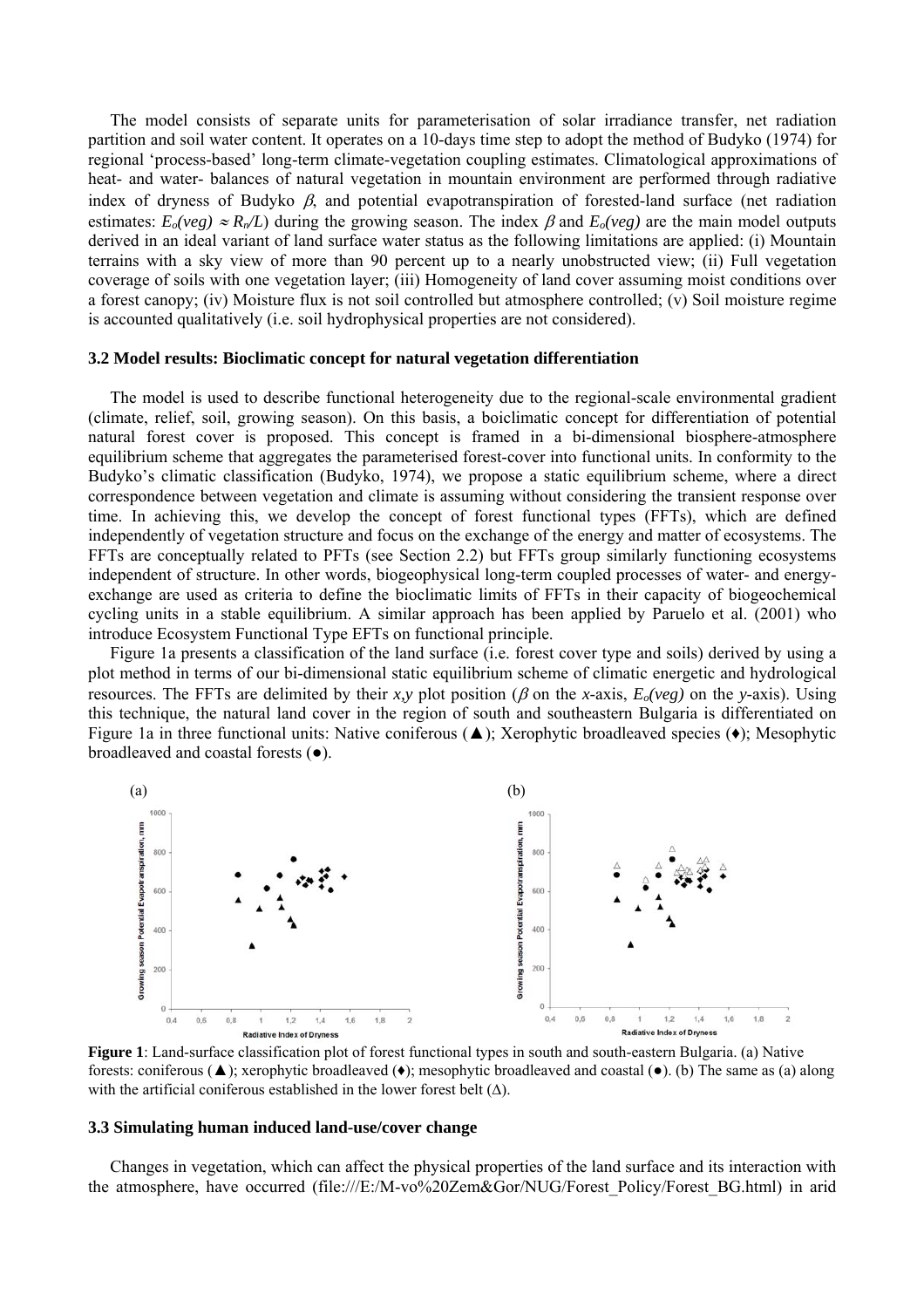The model consists of separate units for parameterisation of solar irradiance transfer, net radiation partition and soil water content. It operates on a 10-days time step to adopt the method of Budyko (1974) for regional 'process-based' long-term climate-vegetation coupling estimates. Climatological approximations of heat- and water- balances of natural vegetation in mountain environment are performed through radiative index of dryness of Budyko  $\beta$ , and potential evapotranspiration of forested-land surface (net radiation estimates:  $E_0(veg) \approx R_n/L$ ) during the growing season. The index  $\beta$  and  $E_0(veg)$  are the main model outputs derived in an ideal variant of land surface water status as the following limitations are applied: (i) Mountain terrains with a sky view of more than 90 percent up to a nearly unobstructed view; (ii) Full vegetation coverage of soils with one vegetation layer; (iii) Homogeneity of land cover assuming moist conditions over a forest canopy; (iv) Moisture flux is not soil controlled but atmosphere controlled; (v) Soil moisture regime is accounted qualitatively (i.e. soil hydrophysical properties are not considered).

### **3.2 Model results: Bioclimatic concept for natural vegetation differentiation**

The model is used to describe functional heterogeneity due to the regional-scale environmental gradient (climate, relief, soil, growing season). On this basis, a boiclimatic concept for differentiation of potential natural forest cover is proposed. This concept is framed in a bi-dimensional biosphere-atmosphere equilibrium scheme that aggregates the parameterised forest-cover into functional units. In conformity to the Budyko's climatic classification (Budyko, 1974), we propose a static equilibrium scheme, where a direct correspondence between vegetation and climate is assuming without considering the transient response over time. In achieving this, we develop the concept of forest functional types (FFTs), which are defined independently of vegetation structure and focus on the exchange of the energy and matter of ecosystems. The FFTs are conceptually related to PFTs (see Section 2.2) but FFTs group similarly functioning ecosystems independent of structure. In other words, biogeophysical long-term coupled processes of water- and energyexchange are used as criteria to define the bioclimatic limits of FFTs in their capacity of biogeochemical cycling units in a stable equilibrium. A similar approach has been applied by Paruelo et al. (2001) who introduce Ecosystem Functional Type EFTs on functional principle.

Figure 1a presents a classification of the land surface (i.e. forest cover type and soils) derived by using a plot method in terms of our bi-dimensional static equilibrium scheme of climatic energetic and hydrological resources. The FFTs are delimited by their *x*, *y* plot position ( $\beta$  on the *x*-axis,  $E_o(veg)$  on the *y*-axis). Using this technique, the natural land cover in the region of south and southeastern Bulgaria is differentiated on Figure 1a in three functional units: Native coniferous (▲); Xerophytic broadleaved species (♦); Mesophytic broadleaved and coastal forests (●).



**Figure 1**: Land-surface classification plot of forest functional types in south and south-eastern Bulgaria. (a) Native forests: coniferous (▲); xerophytic broadleaved (♦); mesophytic broadleaved and coastal (●). (b) The same as (a) along with the artificial coniferous established in the lower forest belt  $(\Delta)$ .

### **3.3 Simulating human induced land-use/cover change**

Changes in vegetation, which can affect the physical properties of the land surface and its interaction with the atmosphere, have occurred ([file:///E:/M-vo%20Zem&Gor/NUG/Forest\\_Policy/Forest\\_BG.html](http://www.fao.org/ag/AGP/AGPS/Pgrfa/pdf/bulgaria.pdf)) in arid